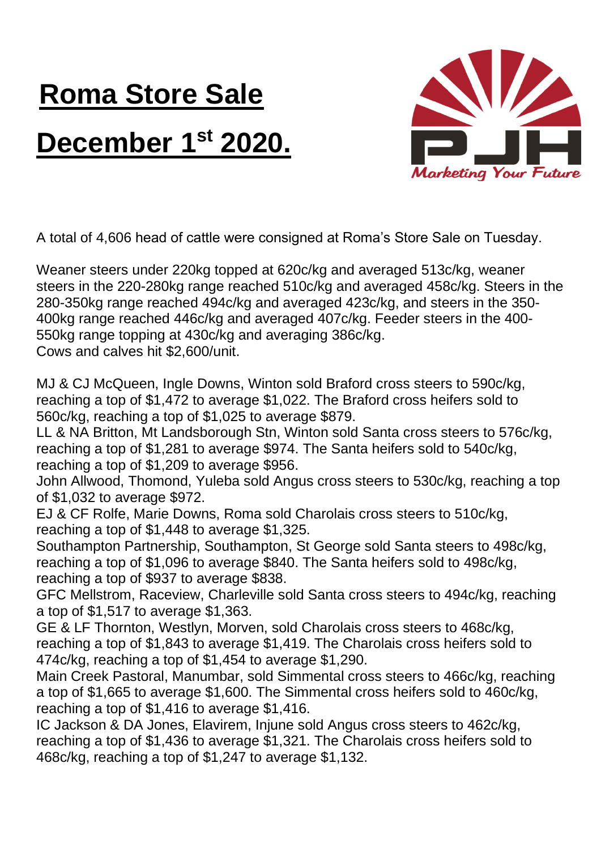## **Roma Store Sale December 1st 2020.**



A total of 4,606 head of cattle were consigned at Roma's Store Sale on Tuesday.

Weaner steers under 220kg topped at 620c/kg and averaged 513c/kg, weaner steers in the 220-280kg range reached 510c/kg and averaged 458c/kg. Steers in the 280-350kg range reached 494c/kg and averaged 423c/kg, and steers in the 350- 400kg range reached 446c/kg and averaged 407c/kg. Feeder steers in the 400- 550kg range topping at 430c/kg and averaging 386c/kg. Cows and calves hit \$2,600/unit.

MJ & CJ McQueen, Ingle Downs, Winton sold Braford cross steers to 590c/kg, reaching a top of \$1,472 to average \$1,022. The Braford cross heifers sold to 560c/kg, reaching a top of \$1,025 to average \$879.

LL & NA Britton, Mt Landsborough Stn, Winton sold Santa cross steers to 576c/kg, reaching a top of \$1,281 to average \$974. The Santa heifers sold to 540c/kg, reaching a top of \$1,209 to average \$956.

John Allwood, Thomond, Yuleba sold Angus cross steers to 530c/kg, reaching a top of \$1,032 to average \$972.

EJ & CF Rolfe, Marie Downs, Roma sold Charolais cross steers to 510c/kg, reaching a top of \$1,448 to average \$1,325.

Southampton Partnership, Southampton, St George sold Santa steers to 498c/kg, reaching a top of \$1,096 to average \$840. The Santa heifers sold to 498c/kg, reaching a top of \$937 to average \$838.

GFC Mellstrom, Raceview, Charleville sold Santa cross steers to 494c/kg, reaching a top of \$1,517 to average \$1,363.

GE & LF Thornton, Westlyn, Morven, sold Charolais cross steers to 468c/kg, reaching a top of \$1,843 to average \$1,419. The Charolais cross heifers sold to 474c/kg, reaching a top of \$1,454 to average \$1,290.

Main Creek Pastoral, Manumbar, sold Simmental cross steers to 466c/kg, reaching a top of \$1,665 to average \$1,600. The Simmental cross heifers sold to 460c/kg, reaching a top of \$1,416 to average \$1,416.

IC Jackson & DA Jones, Elavirem, Injune sold Angus cross steers to 462c/kg, reaching a top of \$1,436 to average \$1,321. The Charolais cross heifers sold to 468c/kg, reaching a top of \$1,247 to average \$1,132.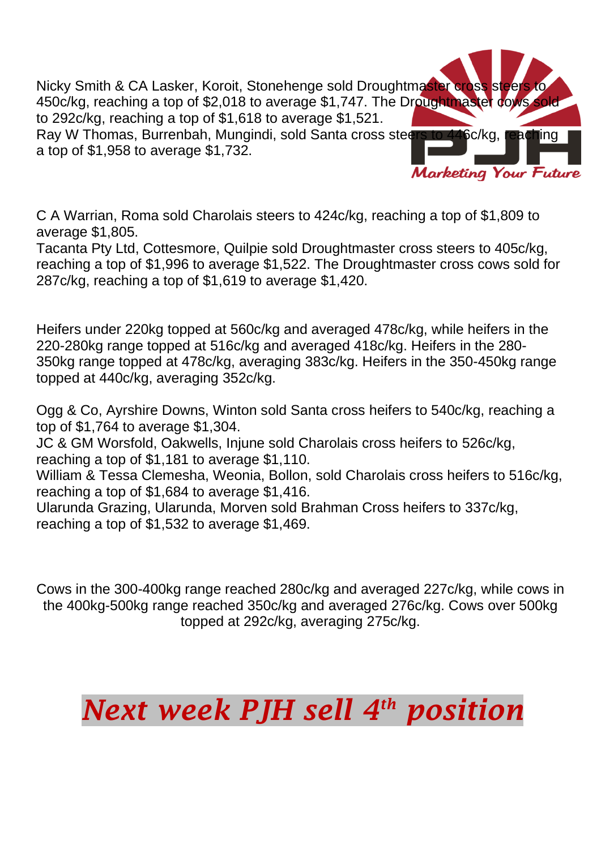Nicky Smith & CA Lasker, Koroit, Stonehenge sold Droughtmaster cross steers to 450c/kg, reaching a top of \$2,018 to average \$1,747. The Droughtmaster cows sold to 292c/kg, reaching a top of \$1,618 to average \$1,521. Ray W Thomas, Burrenbah, Mungindi, sold Santa cross steers to 446c/kg, a top of \$1,958 to average \$1,732.

**Marketing Your Future** 

C A Warrian, Roma sold Charolais steers to 424c/kg, reaching a top of \$1,809 to average \$1,805.

Tacanta Pty Ltd, Cottesmore, Quilpie sold Droughtmaster cross steers to 405c/kg, reaching a top of \$1,996 to average \$1,522. The Droughtmaster cross cows sold for 287c/kg, reaching a top of \$1,619 to average \$1,420.

Heifers under 220kg topped at 560c/kg and averaged 478c/kg, while heifers in the 220-280kg range topped at 516c/kg and averaged 418c/kg. Heifers in the 280- 350kg range topped at 478c/kg, averaging 383c/kg. Heifers in the 350-450kg range topped at 440c/kg, averaging 352c/kg.

Ogg & Co, Ayrshire Downs, Winton sold Santa cross heifers to 540c/kg, reaching a top of \$1,764 to average \$1,304.

JC & GM Worsfold, Oakwells, Injune sold Charolais cross heifers to 526c/kg, reaching a top of \$1,181 to average \$1,110.

William & Tessa Clemesha, Weonia, Bollon, sold Charolais cross heifers to 516c/kg, reaching a top of \$1,684 to average \$1,416.

Ularunda Grazing, Ularunda, Morven sold Brahman Cross heifers to 337c/kg, reaching a top of \$1,532 to average \$1,469.

Cows in the 300-400kg range reached 280c/kg and averaged 227c/kg, while cows in the 400kg-500kg range reached 350c/kg and averaged 276c/kg. Cows over 500kg topped at 292c/kg, averaging 275c/kg.

## *Next week PJH sell 4 th position*